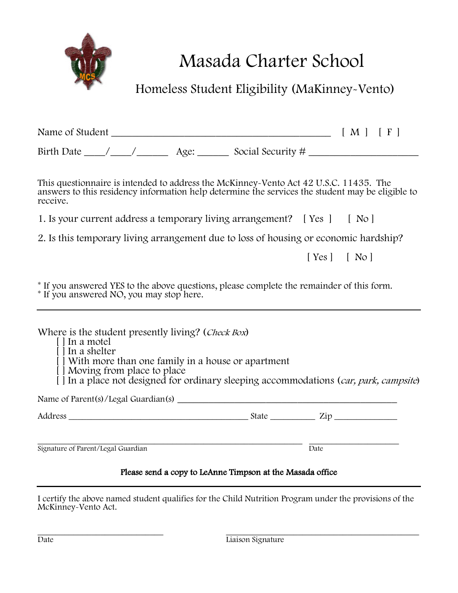

Masada Charter School

Homeless Student Eligibility (MaKinney-Vento)

| This questionnaire is intended to address the McKinney-Vento Act 42 U.S.C. 11435. The<br>answers to this residency information help determine the services the student may be eligible to<br>receive.                                                                                         |                                                           |      |                |
|-----------------------------------------------------------------------------------------------------------------------------------------------------------------------------------------------------------------------------------------------------------------------------------------------|-----------------------------------------------------------|------|----------------|
| 1. Is your current address a temporary living arrangement? [Yes ] [ No ]                                                                                                                                                                                                                      |                                                           |      |                |
| 2. Is this temporary living arrangement due to loss of housing or economic hardship?                                                                                                                                                                                                          |                                                           |      |                |
|                                                                                                                                                                                                                                                                                               |                                                           |      | $[Yes]$ $[No]$ |
| Where is the student presently living? (Check Box)<br>[ ] In a motel<br>$\lceil \cdot \rceil$ In a shelter<br>[] With more than one family in a house or apartment<br>[ ] Moving from place to place<br>[] In a place not designed for ordinary sleeping accommodations (car, park, campsite) |                                                           |      |                |
|                                                                                                                                                                                                                                                                                               |                                                           |      |                |
|                                                                                                                                                                                                                                                                                               |                                                           |      |                |
| Signature of Parent/Legal Guardian                                                                                                                                                                                                                                                            |                                                           | Date |                |
|                                                                                                                                                                                                                                                                                               | Please send a copy to LeAnne Timpson at the Masada office |      |                |

I certify the above named student qualifies for the Child Nutrition Program under the provisions of the McKinney-Vento Act.

entrante de la composición de la composición de la composición de la composición de la composición de la compo<br>Date de la composición de la composición de la composición de la composición de la composición de la composició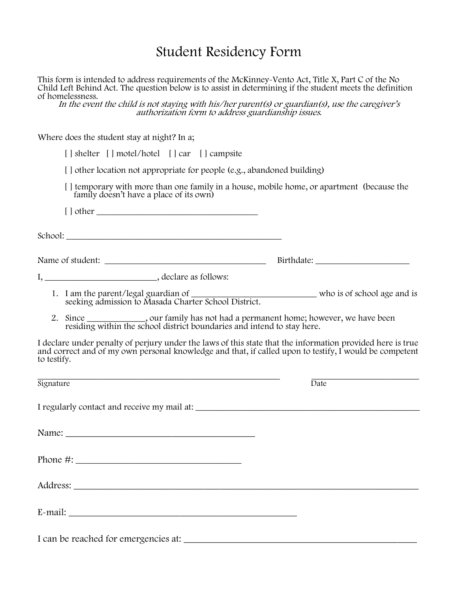## Student Residency Form

This form is intended to address requirements of the McKinney-Vento Act, Title X, Part C of the No Child Left Behind Act. The question below is to assist in determining if the student meets the definition of homelessness.

In the event the child is not staying with his/her parent(s) or guardian(s), use the caregiver's authorization form to address guardianship issues.

Where does the student stay at night? In a;

| [] shelter [] motel/hotel [] car [] campsite                                                                                       |                                                                                                                                                                                                                      |
|------------------------------------------------------------------------------------------------------------------------------------|----------------------------------------------------------------------------------------------------------------------------------------------------------------------------------------------------------------------|
| [] other location not appropriate for people (e.g., abandoned building)                                                            |                                                                                                                                                                                                                      |
| family doesn't have a place of its own)                                                                                            | [ ] temporary with more than one family in a house, mobile home, or apartment (because the                                                                                                                           |
|                                                                                                                                    |                                                                                                                                                                                                                      |
|                                                                                                                                    |                                                                                                                                                                                                                      |
|                                                                                                                                    |                                                                                                                                                                                                                      |
|                                                                                                                                    |                                                                                                                                                                                                                      |
|                                                                                                                                    | 1. I am the parent/legal guardian of seeking admission to Masada Charter School District.                                                                                                                            |
|                                                                                                                                    | 2. Since ___________, our family has not had a permanent home; however, we have been residing within the school district boundaries and intend to stay here.                                                         |
| to testify.                                                                                                                        | I declare under penalty of perjury under the laws of this state that the information provided here is true<br>and correct and of my own personal knowledge and that, if called upon to testify, I would be competent |
| <u> 1989 - Johann Harry Harry Harry Harry Harry Harry Harry Harry Harry Harry Harry Harry Harry Harry Harry Harry</u><br>Signature | $\overline{Date}$                                                                                                                                                                                                    |
|                                                                                                                                    |                                                                                                                                                                                                                      |
|                                                                                                                                    |                                                                                                                                                                                                                      |
|                                                                                                                                    |                                                                                                                                                                                                                      |
|                                                                                                                                    |                                                                                                                                                                                                                      |
|                                                                                                                                    |                                                                                                                                                                                                                      |
|                                                                                                                                    |                                                                                                                                                                                                                      |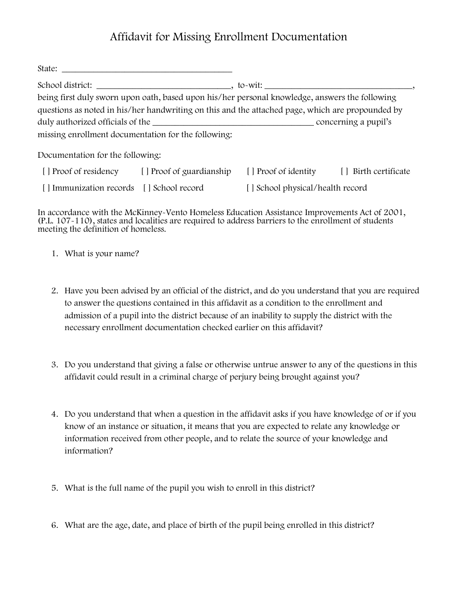## Affidavit for Missing Enrollment Documentation

| State:<br>and the control of the control of the control of the control of the control of the control of the control of the                                                                         |  |                                  |                       |  |  |
|----------------------------------------------------------------------------------------------------------------------------------------------------------------------------------------------------|--|----------------------------------|-----------------------|--|--|
| School district:                                                                                                                                                                                   |  |                                  |                       |  |  |
| being first duly sworn upon oath, based upon his/her personal knowledge, answers the following<br>questions as noted in his/her handwriting on this and the attached page, which are propounded by |  |                                  |                       |  |  |
| missing enrollment documentation for the following:                                                                                                                                                |  |                                  |                       |  |  |
| Documentation for the following:                                                                                                                                                                   |  |                                  |                       |  |  |
| [] Proof of residency [] Proof of guardianship                                                                                                                                                     |  | [ ] Proof of identity            | [ ] Birth certificate |  |  |
| [ ] Immunization records [ ] School record                                                                                                                                                         |  | [] School physical/health record |                       |  |  |

In accordance with the McKinney-Vento Homeless Education Assistance Improvements Act of 2001, (P.L. 107-110), states and localities are required to address barriers to the enrollment of students meeting the definition of homeless.

- 1. What is your name?
- 2. Have you been advised by an official of the district, and do you understand that you are required to answer the questions contained in this affidavit as a condition to the enrollment and admission of a pupil into the district because of an inability to supply the district with the necessary enrollment documentation checked earlier on this affidavit?
- 3. Do you understand that giving a false or otherwise untrue answer to any of the questions in this affidavit could result in a criminal charge of perjury being brought against you?
- 4. Do you understand that when a question in the affidavit asks if you have knowledge of or if you know of an instance or situation, it means that you are expected to relate any knowledge or information received from other people, and to relate the source of your knowledge and information?
- 5. What is the full name of the pupil you wish to enroll in this district?
- 6. What are the age, date, and place of birth of the pupil being enrolled in this district?